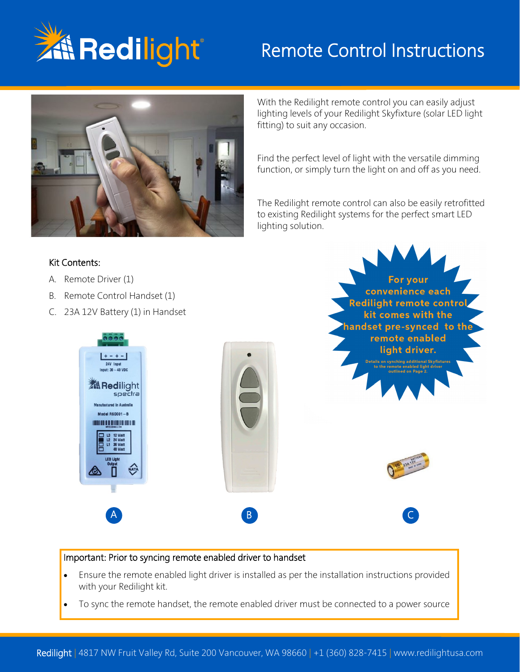

# Remote Control Instructions



With the Redilight remote control you can easily adjust lighting levels of your Redilight Skyfixture (solar LED light fitting) to suit any occasion.

Find the perfect level of light with the versatile dimming function, or simply turn the light on and off as you need.

The Redilight remote control can also be easily retrofitted to existing Redilight systems for the perfect smart LED lighting solution.

> For your convenience each

#### Kit Contents:

- A. Remote Driver (1)
- B. Remote Control Handset (1)
- C. 23A 12V Battery (1) in Handset



#### Important: Prior to syncing remote enabled driver to handset

- Ensure the remote enabled light driver is installed as per the installation instructions provided with your Redilight kit.
- To sync the remote handset, the remote enabled driver must be connected to a power source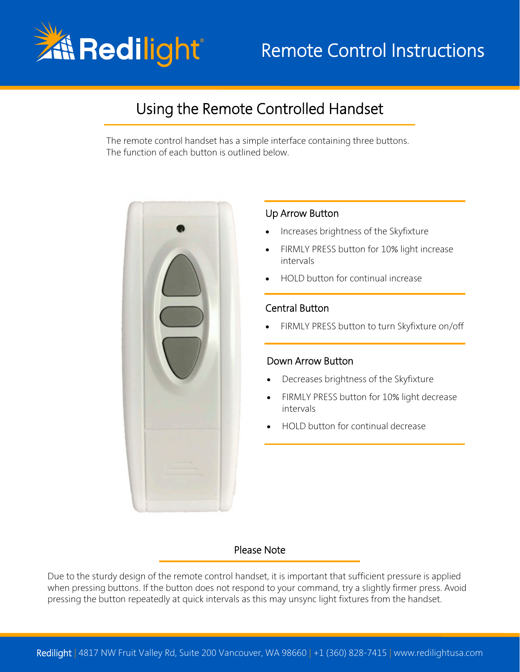

# Remote Control Instructions

## Using the Remote Controlled Handset

The remote control handset has a simple interface containing three buttons. The function of each button is outlined below.



#### Up Arrow Button

- Increases brightness of the Skyfixture
- FIRMLY PRESS button for 10% light increase intervals
- HOLD button for continual increase

#### Central Button

• FIRMLY PRESS button to turn Skyfixture on/off

#### Down Arrow Button

- Decreases brightness of the Skyfixture
- FIRMLY PRESS button for 10% light decrease intervals
- HOLD button for continual decrease

#### Please Note

Due to the sturdy design of the remote control handset, it is important that sufficient pressure is applied when pressing buttons. If the button does not respond to your command, try a slightly firmer press. Avoid pressing the button repeatedly at quick intervals as this may unsync light fixtures from the handset.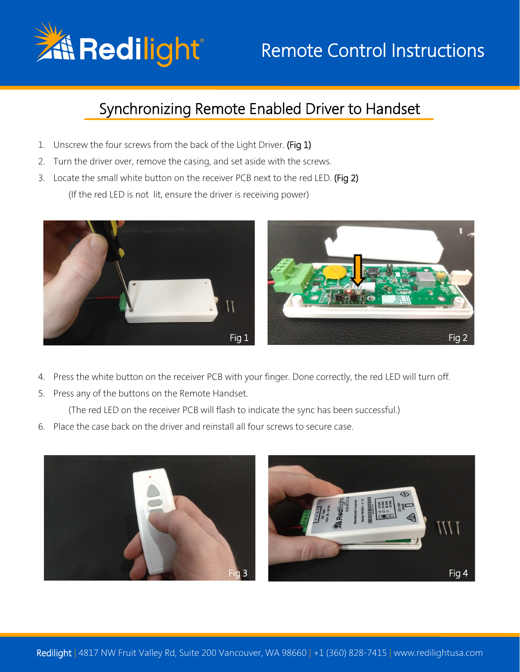

# Remote Control Instructions

## Synchronizing Remote Enabled Driver to Handset

- 1. Unscrew the four screws from the back of the Light Driver. (Fig 1)
- 2. Turn the driver over, remove the casing, and set aside with the screws.
- 3. Locate the small white button on the receiver PCB next to the red LED. (Fig 2) (If the red LED is not lit, ensure the driver is receiving power)



- 4. Press the white button on the receiver PCB with your finger. Done correctly, the red LED will turn off.
- 5. Press any of the buttons on the Remote Handset.

(The red LED on the receiver PCB will flash to indicate the sync has been successful.)

6. Place the case back on the driver and reinstall all four screws to secure case.